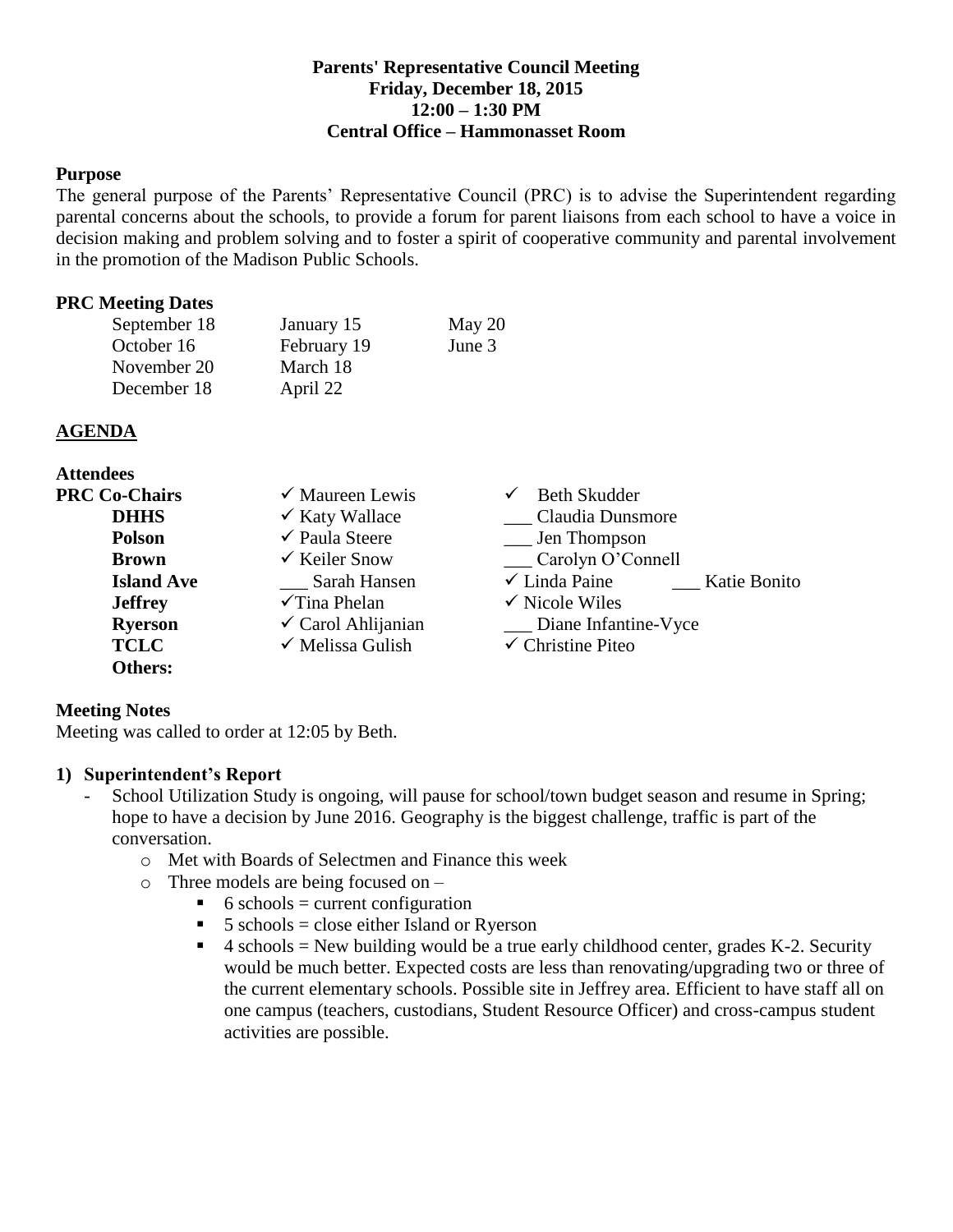## **Parents' Representative Council Meeting Friday, December 18, 2015 12:00 – 1:30 PM Central Office – Hammonasset Room**

#### **Purpose**

The general purpose of the Parents' Representative Council (PRC) is to advise the Superintendent regarding parental concerns about the schools, to provide a forum for parent liaisons from each school to have a voice in decision making and problem solving and to foster a spirit of cooperative community and parental involvement in the promotion of the Madison Public Schools.

#### **PRC Meeting Dates**

| September 18 | January 15  | May 20 |
|--------------|-------------|--------|
| October 16   | February 19 | June 3 |
| November 20  | March 18    |        |
| December 18  | April 22    |        |

#### **AGENDA**

| <b>Attendees</b>     |                               |                                          |  |
|----------------------|-------------------------------|------------------------------------------|--|
| <b>PRC Co-Chairs</b> | $\checkmark$ Maureen Lewis    | <b>Beth Skudder</b><br>✓                 |  |
| <b>DHHS</b>          | $\checkmark$ Katy Wallace     | Claudia Dunsmore                         |  |
| <b>Polson</b>        | $\checkmark$ Paula Steere     | __ Jen Thompson                          |  |
| <b>Brown</b>         | $\checkmark$ Keiler Snow      | Carolyn O'Connell                        |  |
| <b>Island Ave</b>    | Sarah Hansen                  | $\checkmark$ Linda Paine<br>Katie Bonito |  |
| <b>Jeffrey</b>       | $\checkmark$ Tina Phelan      | $\checkmark$ Nicole Wiles                |  |
| <b>Ryerson</b>       | $\checkmark$ Carol Ahlijanian | Diane Infantine-Vyce                     |  |
| <b>TCLC</b>          | $\checkmark$ Melissa Gulish   | $\checkmark$ Christine Piteo             |  |
| <b>Others:</b>       |                               |                                          |  |

### **Meeting Notes**

Meeting was called to order at 12:05 by Beth.

### **1) Superintendent's Report**

- School Utilization Study is ongoing, will pause for school/town budget season and resume in Spring; hope to have a decision by June 2016. Geography is the biggest challenge, traffic is part of the conversation.
	- o Met with Boards of Selectmen and Finance this week
	- o Three models are being focused on
		- $\bullet$  6 schools = current configuration
		- $\blacksquare$  5 schools = close either Island or Ryerson
		- $\blacksquare$  4 schools = New building would be a true early childhood center, grades K-2. Security would be much better. Expected costs are less than renovating/upgrading two or three of the current elementary schools. Possible site in Jeffrey area. Efficient to have staff all on one campus (teachers, custodians, Student Resource Officer) and cross-campus student activities are possible.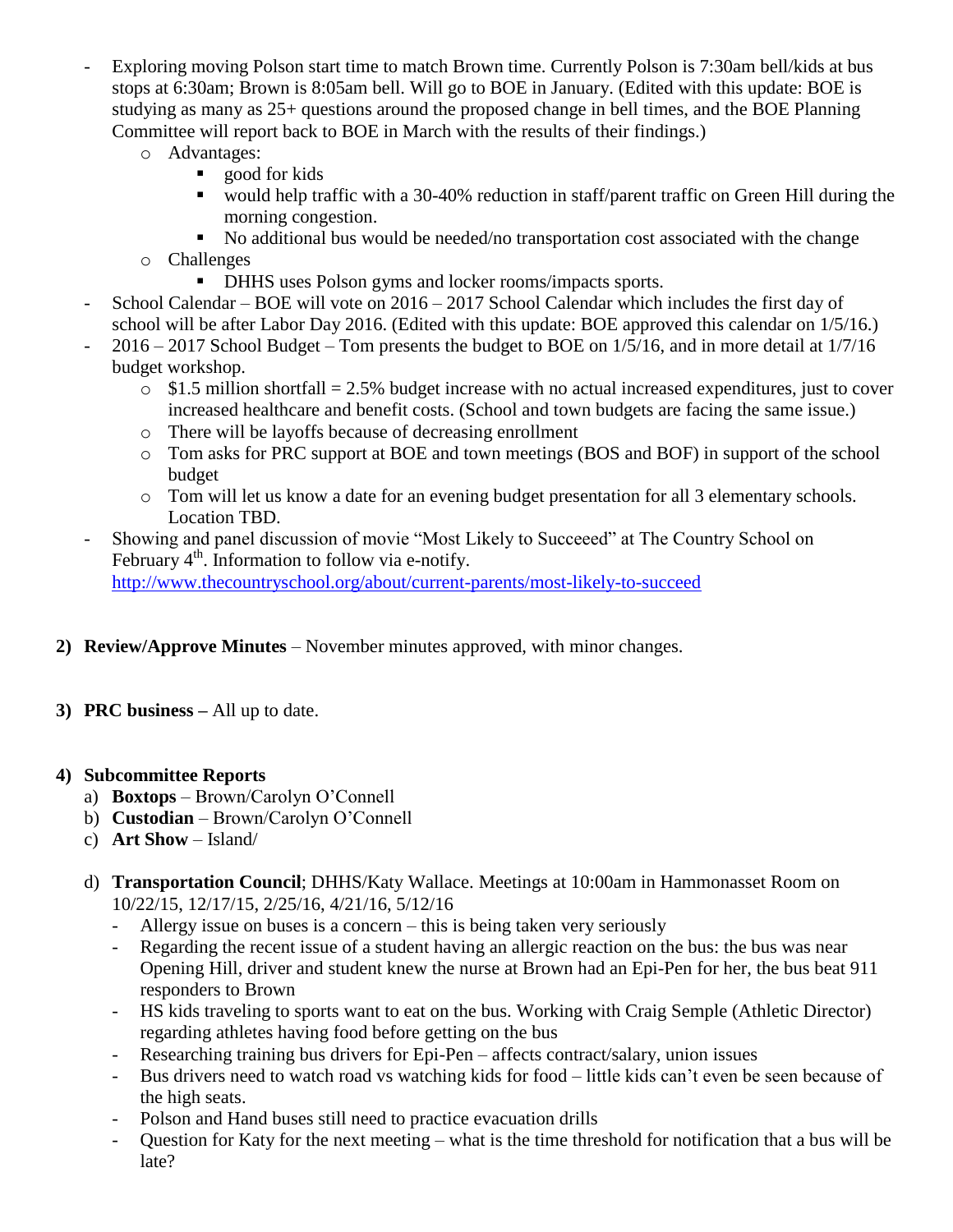- Exploring moving Polson start time to match Brown time. Currently Polson is 7:30am bell/kids at bus stops at 6:30am; Brown is 8:05am bell. Will go to BOE in January. (Edited with this update: BOE is studying as many as 25+ questions around the proposed change in bell times, and the BOE Planning Committee will report back to BOE in March with the results of their findings.)
	- o Advantages:
		- **good** for kids
		- would help traffic with a 30-40% reduction in staff/parent traffic on Green Hill during the morning congestion.
		- No additional bus would be needed/no transportation cost associated with the change
	- o Challenges
		- **DHHS uses Polson gyms and locker rooms/impacts sports.**
- School Calendar BOE will vote on  $2016 2017$  School Calendar which includes the first day of school will be after Labor Day 2016. (Edited with this update: BOE approved this calendar on 1/5/16.)
- 2016 2017 School Budget Tom presents the budget to BOE on 1/5/16, and in more detail at 1/7/16 budget workshop.
	- $\circ$  \$1.5 million shortfall = 2.5% budget increase with no actual increased expenditures, just to cover increased healthcare and benefit costs. (School and town budgets are facing the same issue.)
	- o There will be layoffs because of decreasing enrollment
	- o Tom asks for PRC support at BOE and town meetings (BOS and BOF) in support of the school budget
	- o Tom will let us know a date for an evening budget presentation for all 3 elementary schools. Location TBD.
- Showing and panel discussion of movie "Most Likely to Succeeed" at The Country School on February  $4<sup>th</sup>$ . Information to follow via e-notify. <http://www.thecountryschool.org/about/current-parents/most-likely-to-succeed>
- **2) Review/Approve Minutes** November minutes approved, with minor changes.
- **3) PRC business –** All up to date.

# **4) Subcommittee Reports**

- a) **Boxtops** Brown/Carolyn O'Connell
- b) **Custodian** Brown/Carolyn O'Connell
- c) **Art Show** Island/
- d) **Transportation Council**; DHHS/Katy Wallace. Meetings at 10:00am in Hammonasset Room on 10/22/15, 12/17/15, 2/25/16, 4/21/16, 5/12/16
	- Allergy issue on buses is a concern this is being taken very seriously
	- Regarding the recent issue of a student having an allergic reaction on the bus: the bus was near Opening Hill, driver and student knew the nurse at Brown had an Epi-Pen for her, the bus beat 911 responders to Brown
	- HS kids traveling to sports want to eat on the bus. Working with Craig Semple (Athletic Director) regarding athletes having food before getting on the bus
	- Researching training bus drivers for Epi-Pen affects contract/salary, union issues
	- Bus drivers need to watch road vs watching kids for food little kids can't even be seen because of the high seats.
	- Polson and Hand buses still need to practice evacuation drills
	- Question for Katy for the next meeting what is the time threshold for notification that a bus will be late?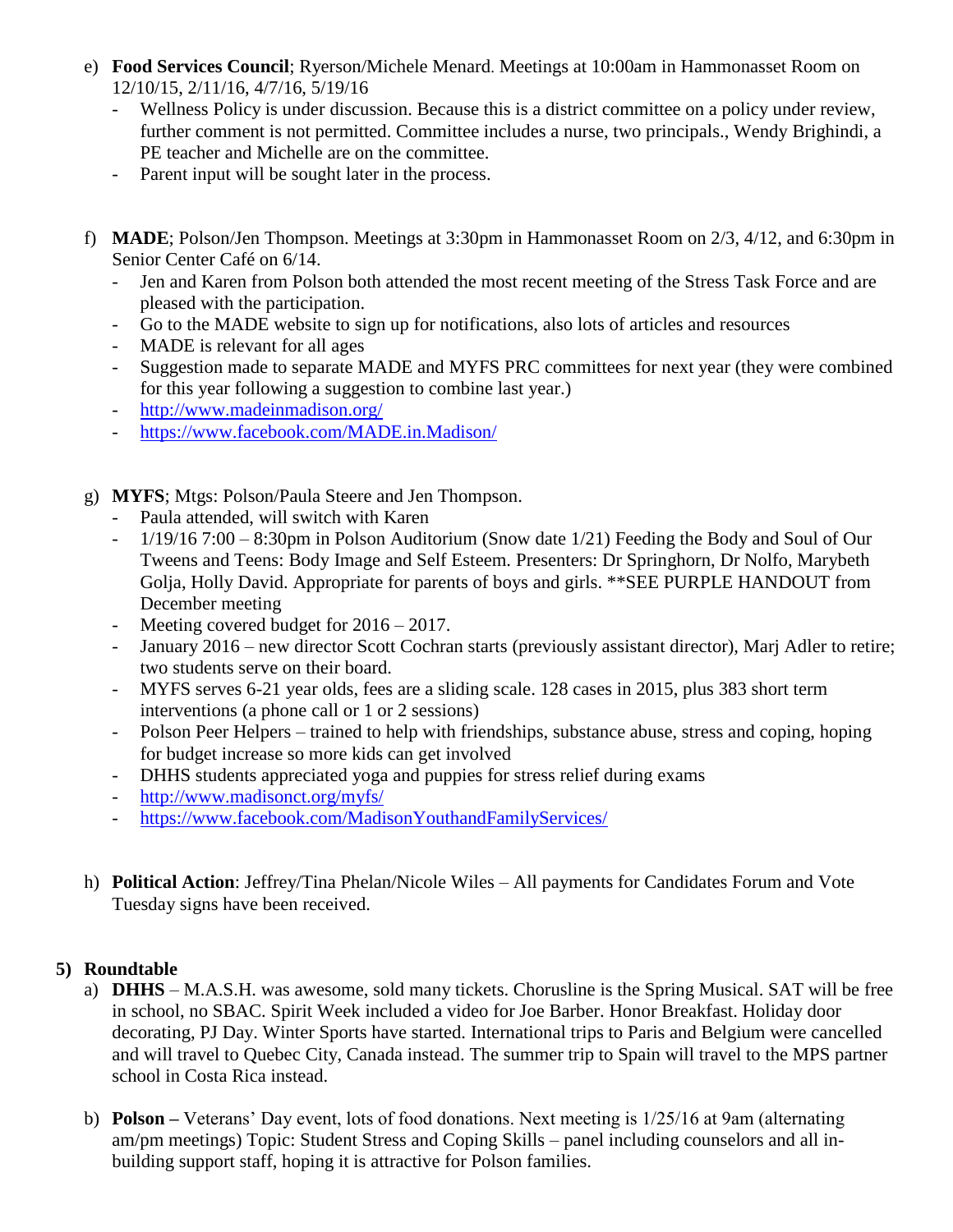- e) **Food Services Council**; Ryerson/Michele Menard. Meetings at 10:00am in Hammonasset Room on 12/10/15, 2/11/16, 4/7/16, 5/19/16
	- Wellness Policy is under discussion. Because this is a district committee on a policy under review, further comment is not permitted. Committee includes a nurse, two principals., Wendy Brighindi, a PE teacher and Michelle are on the committee.
	- Parent input will be sought later in the process.
- f) **MADE**; Polson/Jen Thompson. Meetings at 3:30pm in Hammonasset Room on 2/3, 4/12, and 6:30pm in Senior Center Café on 6/14.
	- Jen and Karen from Polson both attended the most recent meeting of the Stress Task Force and are pleased with the participation.
	- Go to the MADE website to sign up for notifications, also lots of articles and resources
	- MADE is relevant for all ages
	- Suggestion made to separate MADE and MYFS PRC committees for next year (they were combined for this year following a suggestion to combine last year.)
	- <http://www.madeinmadison.org/>
	- <https://www.facebook.com/MADE.in.Madison/>
- g) **MYFS**; Mtgs: Polson/Paula Steere and Jen Thompson.
	- Paula attended, will switch with Karen
	- 1/19/16 7:00 8:30pm in Polson Auditorium (Snow date 1/21) Feeding the Body and Soul of Our Tweens and Teens: Body Image and Self Esteem. Presenters: Dr Springhorn, Dr Nolfo, Marybeth Golja, Holly David. Appropriate for parents of boys and girls. \*\*SEE PURPLE HANDOUT from December meeting
	- Meeting covered budget for  $2016 2017$ .
	- January 2016 new director Scott Cochran starts (previously assistant director), Marj Adler to retire; two students serve on their board.
	- MYFS serves 6-21 year olds, fees are a sliding scale. 128 cases in 2015, plus 383 short term interventions (a phone call or 1 or 2 sessions)
	- Polson Peer Helpers trained to help with friendships, substance abuse, stress and coping, hoping for budget increase so more kids can get involved
	- DHHS students appreciated yoga and puppies for stress relief during exams
	- <http://www.madisonct.org/myfs/>
	- <https://www.facebook.com/MadisonYouthandFamilyServices/>
- h) **Political Action**: Jeffrey/Tina Phelan/Nicole Wiles All payments for Candidates Forum and Vote Tuesday signs have been received.

# **5) Roundtable**

- a) **DHHS** M.A.S.H. was awesome, sold many tickets. Chorusline is the Spring Musical. SAT will be free in school, no SBAC. Spirit Week included a video for Joe Barber. Honor Breakfast. Holiday door decorating, PJ Day. Winter Sports have started. International trips to Paris and Belgium were cancelled and will travel to Quebec City, Canada instead. The summer trip to Spain will travel to the MPS partner school in Costa Rica instead.
- b) **Polson –** Veterans' Day event, lots of food donations. Next meeting is 1/25/16 at 9am (alternating am/pm meetings) Topic: Student Stress and Coping Skills – panel including counselors and all inbuilding support staff, hoping it is attractive for Polson families.